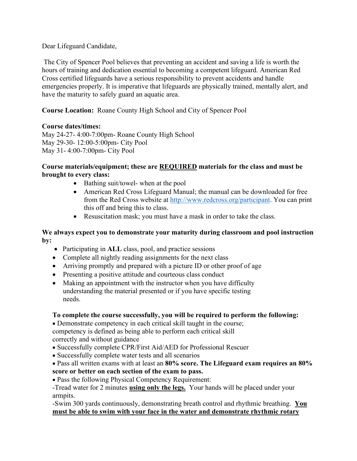Dear Lifeguard Candidate,

The City of Spencer Pool believes that preventing an accident and saving a life is worth the hours of training and dedication essential to becoming a competent lifeguard. American Red Cross certified lifeguards have a serious responsibility to prevent accidents and handle emergencies properly. It is imperative that lifeguards are physically trained, mentally alert, and have the maturity to safely guard an aquatic area.

**Course Location:** Roane County High School and City of Spencer Pool

## **Course dates/times:**

May 24-27- 4:00-7:00pm- Roane County High School May 29-30- 12:00-5:00pm- City Pool May 31- 4:00-7:00pm- City Pool

### **Course materials/equipment; these are REQUIRED materials for the class and must be brought to every class:**

- Bathing suit/towel- when at the pool
- American Red Cross Lifeguard Manual; the manual can be downloaded for free from the Red Cross website at [http://www.redcross.org/participant.](http://www.redcross.org/participant) You can print this off and bring this to class.
- Resuscitation mask; you must have a mask in order to take the class.

## **We always expect you to demonstrate your maturity during classroom and pool instruction by:**

- Participating in **ALL** class, pool, and practice sessions
- Complete all nightly reading assignments for the next class
- Arriving promptly and prepared with a picture ID or other proof of age
- Presenting a positive attitude and courteous class conduct
- Making an appointment with the instructor when you have difficulty understanding the material presented or if you have specific testing needs.

## **To complete the course successfully, you will be required to perform the following:**

• Demonstrate competency in each critical skill taught in the course; competency is defined as being able to perform each critical skill correctly and without guidance

- Successfully complete CPR/First Aid/AED for Professional Rescuer
- Successfully complete water tests and all scenarios

# • Pass all written exams with at least an **80% score. The Lifeguard exam requires an 80% score or better on each section of the exam to pass.**

• Pass the following Physical Competency Requirement:

-Tread water for 2 minutes **using only the legs.** Your hands will be placed under your armpits.

-Swim 300 yards continuously, demonstrating breath control and rhythmic breathing. **You must be able to swim with your face in the water and demonstrate rhythmic rotary**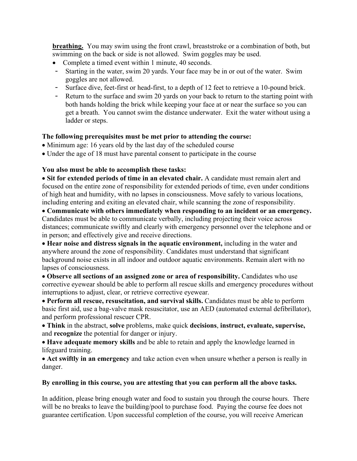**breathing.** You may swim using the front crawl, breaststroke or a combination of both, but swimming on the back or side is not allowed. Swim goggles may be used.

- Complete a timed event within 1 minute, 40 seconds.
- Starting in the water, swim 20 yards. Your face may be in or out of the water. Swim goggles are not allowed.
- Surface dive, feet-first or head-first, to a depth of 12 feet to retrieve a 10-pound brick.
- Return to the surface and swim 20 yards on your back to return to the starting point with both hands holding the brick while keeping your face at or near the surface so you can get a breath. You cannot swim the distance underwater. Exit the water without using a ladder or steps.

### **The following prerequisites must be met prior to attending the course:**

- Minimum age: 16 years old by the last day of the scheduled course
- Under the age of 18 must have parental consent to participate in the course

### **You also must be able to accomplish these tasks:**

• **Sit for extended periods of time in an elevated chair.** A candidate must remain alert and focused on the entire zone of responsibility for extended periods of time, even under conditions of high heat and humidity, with no lapses in consciousness. Move safely to various locations, including entering and exiting an elevated chair, while scanning the zone of responsibility.

• **Communicate with others immediately when responding to an incident or an emergency.**  Candidates must be able to communicate verbally, including projecting their voice across distances; communicate swiftly and clearly with emergency personnel over the telephone and or in person; and effectively give and receive directions.

• **Hear noise and distress signals in the aquatic environment,** including in the water and anywhere around the zone of responsibility. Candidates must understand that significant background noise exists in all indoor and outdoor aquatic environments. Remain alert with no lapses of consciousness.

• **Observe all sections of an assigned zone or area of responsibility.** Candidates who use corrective eyewear should be able to perform all rescue skills and emergency procedures without interruptions to adjust, clear, or retrieve corrective eyewear.

• **Perform all rescue, resuscitation, and survival skills.** Candidates must be able to perform basic first aid, use a bag-valve mask resuscitator, use an AED (automated external defibrillator), and perform professional rescuer CPR.

• **Think** in the abstract, **solve** problems, make quick **decisions**, **instruct, evaluate, supervise,**  and **recognize** the potential for danger or injury.

• **Have adequate memory skills** and be able to retain and apply the knowledge learned in lifeguard training.

• **Act swiftly in an emergency** and take action even when unsure whether a person is really in danger.

#### **By enrolling in this course, you are attesting that you can perform all the above tasks.**

In addition, please bring enough water and food to sustain you through the course hours. There will be no breaks to leave the building/pool to purchase food. Paying the course fee does not guarantee certification. Upon successful completion of the course, you will receive American